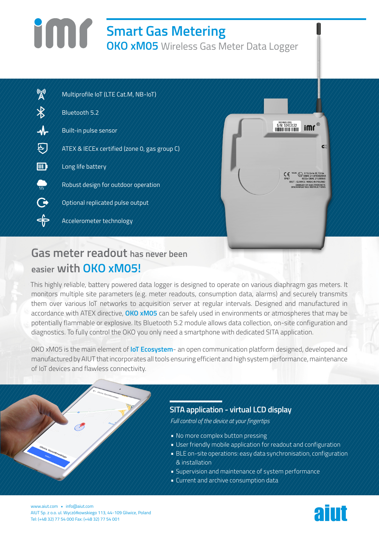# **Smart Gas Metering OKO xM05** Wireless Gas Meter Data Logger

| $\mathbb{A}^{(n)}$       | Multiprofile IoT (LTE Cat.M, NB-IoT)         |
|--------------------------|----------------------------------------------|
| $\overline{\mathcal{X}}$ | Bluetooth 5.2                                |
| $\mathcal{A}$            | Built-in pulse sensor                        |
|                          | ATEX & IECEx certified (zone 0, gas group C) |
| $\mathbf{m}$             | Long life battery                            |
| w                        | Robust design for outdoor operation          |
| Ğ                        | Optional replicated pulse output             |
|                          | Accelerometer technology                     |



# **Gas meter readout has never been easier with OKO xM05!**

This highly reliable, battery powered data logger is designed to operate on various diaphragm gas meters. It monitors multiple site parameters (e.g. meter readouts, consumption data, alarms) and securely transmits them over various IoT networks to acquisition server at regular intervals. Designed and manufactured in accordance with ATEX directive, **OKO xM05** can be safely used in environments or atmospheres that may be potentially flammable or explosive. Its Bluetooth 5.2 module allows data collection, on-site configuration and diagnostics. To fully control the OKO you only need a smartphone with dedicated SITA application.

OKO xM05 is the main element of **IoT Ecosystem**- an open communication platform designed, developed and manufactured by AIUT that incorporates all tools ensuring efficient and high system performance, maintenance of IoT devices and flawless connectivity.

# **SITA application - virtual LCD display**

*Full control of the device at your fingertips*

- **•** No more complex button pressing
- **•** User friendly mobile application for readout and configuration
- **•** BLE on-site operations: easy data synchronisation, configuration & installation
- **•** Supervision and maintenance of system performance
- **•** Current and archive consumption data

www.aiut.com • info@aiut.com AIUT Sp. z o.o. ul. Wyczółkowskiego 113, 44-109 Gliwice, Poland www.aiut.com • info@aiut.com<br>AIUT Sp. z o.o. ul. Wyczółkowskiego 113, 44-109 Gliwice, Poland<br>Tel: (+48 32) 77 54 000 Fax: (+48 32) 77 54 001